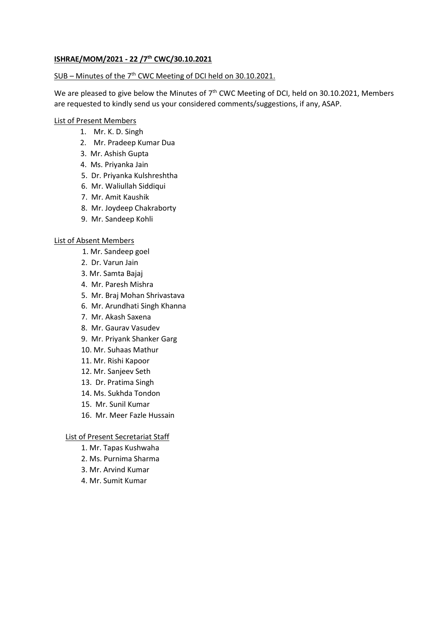## **ISHRAE/MOM/2021 - 22 /7 th CWC/30.10.2021**

## SUB - Minutes of the 7<sup>th</sup> CWC Meeting of DCI held on 30.10.2021.

We are pleased to give below the Minutes of  $7<sup>th</sup>$  CWC Meeting of DCI, held on 30.10.2021, Members are requested to kindly send us your considered comments/suggestions, if any, ASAP.

## List of Present Members

- 1. Mr. K. D. Singh
- 2. Mr. Pradeep Kumar Dua
- 3. Mr. Ashish Gupta
- 4. Ms. Priyanka Jain
- 5. Dr. Priyanka Kulshreshtha
- 6. Mr. Waliullah Siddiqui
- 7. Mr. Amit Kaushik
- 8. Mr. Joydeep Chakraborty
- 9. Mr. Sandeep Kohli

#### List of Absent Members

- 1. Mr. Sandeep goel
- 2. Dr. Varun Jain
- 3. Mr. Samta Bajaj
- 4. Mr. Paresh Mishra
- 5. Mr. Braj Mohan Shrivastava
- 6. Mr. Arundhati Singh Khanna
- 7. Mr. Akash Saxena
- 8. Mr. Gaurav Vasudev
- 9. Mr. Priyank Shanker Garg
- 10. Mr. Suhaas Mathur
- 11. Mr. Rishi Kapoor
- 12. Mr. Sanjeev Seth
- 13. Dr. Pratima Singh
- 14. Ms. Sukhda Tondon
- 15. Mr. Sunil Kumar
- 16. Mr. Meer Fazle Hussain

#### List of Present Secretariat Staff

- 1. Mr. Tapas Kushwaha
- 2. Ms. Purnima Sharma
- 3. Mr. Arvind Kumar
- 4. Mr. Sumit Kumar